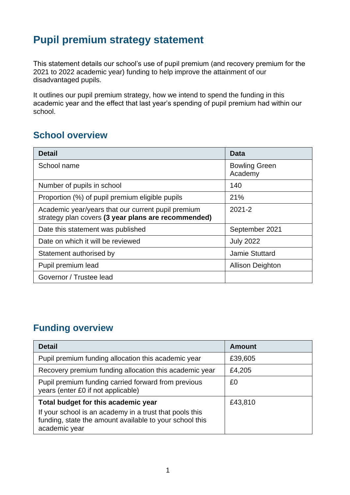# **Pupil premium strategy statement**

This statement details our school's use of pupil premium (and recovery premium for the 2021 to 2022 academic year) funding to help improve the attainment of our disadvantaged pupils.

It outlines our pupil premium strategy, how we intend to spend the funding in this academic year and the effect that last year's spending of pupil premium had within our school.

## **School overview**

| <b>Detail</b>                                                                                             | Data                            |  |
|-----------------------------------------------------------------------------------------------------------|---------------------------------|--|
| School name                                                                                               | <b>Bowling Green</b><br>Academy |  |
| Number of pupils in school                                                                                | 140                             |  |
| Proportion (%) of pupil premium eligible pupils                                                           | 21%                             |  |
| Academic year/years that our current pupil premium<br>strategy plan covers (3 year plans are recommended) | $2021 - 2$                      |  |
| Date this statement was published                                                                         | September 2021                  |  |
| Date on which it will be reviewed                                                                         | <b>July 2022</b>                |  |
| Statement authorised by                                                                                   | <b>Jamie Stuttard</b>           |  |
| Pupil premium lead                                                                                        | <b>Allison Deighton</b>         |  |
| Governor / Trustee lead                                                                                   |                                 |  |

## **Funding overview**

| <b>Detail</b>                                                                                                                       | <b>Amount</b> |
|-------------------------------------------------------------------------------------------------------------------------------------|---------------|
| Pupil premium funding allocation this academic year                                                                                 | £39,605       |
| Recovery premium funding allocation this academic year                                                                              | £4,205        |
| Pupil premium funding carried forward from previous<br>years (enter £0 if not applicable)                                           | £0            |
| Total budget for this academic year                                                                                                 | £43,810       |
| If your school is an academy in a trust that pools this<br>funding, state the amount available to your school this<br>academic year |               |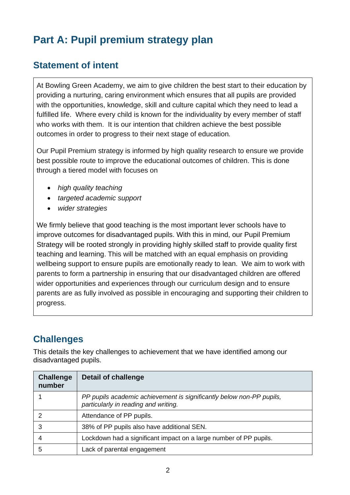# **Part A: Pupil premium strategy plan**

## **Statement of intent**

At Bowling Green Academy, we aim to give children the best start to their education by providing a nurturing, caring environment which ensures that all pupils are provided with the opportunities, knowledge, skill and culture capital which they need to lead a fulfilled life. Where every child is known for the individuality by every member of staff who works with them. It is our intention that children achieve the best possible outcomes in order to progress to their next stage of education*.*

Our Pupil Premium strategy is informed by high quality research to ensure we provide best possible route to improve the educational outcomes of children. This is done through a tiered model with focuses on

- *high quality teaching*
- *targeted academic support*
- *wider strategies*

We firmly believe that good teaching is the most important lever schools have to improve outcomes for disadvantaged pupils. With this in mind, our Pupil Premium Strategy will be rooted strongly in providing highly skilled staff to provide quality first teaching and learning. This will be matched with an equal emphasis on providing wellbeing support to ensure pupils are emotionally ready to lean. We aim to work with parents to form a partnership in ensuring that our disadvantaged children are offered wider opportunities and experiences through our curriculum design and to ensure parents are as fully involved as possible in encouraging and supporting their children to progress.

## **Challenges**

This details the key challenges to achievement that we have identified among our disadvantaged pupils.

| <b>Challenge</b><br>number | <b>Detail of challenge</b>                                                                                   |
|----------------------------|--------------------------------------------------------------------------------------------------------------|
|                            | PP pupils academic achievement is significantly below non-PP pupils,<br>particularly in reading and writing. |
|                            | Attendance of PP pupils.                                                                                     |
| 3                          | 38% of PP pupils also have additional SEN.                                                                   |
|                            | Lockdown had a significant impact on a large number of PP pupils.                                            |
| 5                          | Lack of parental engagement                                                                                  |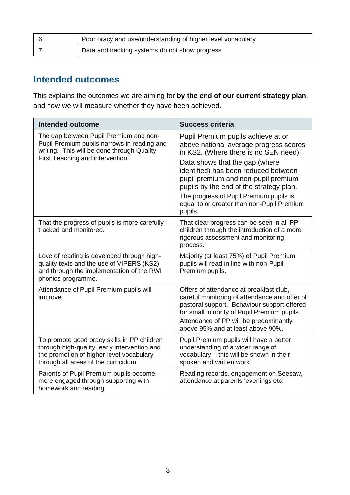| Poor oracy and use/understanding of higher level vocabulary |
|-------------------------------------------------------------|
| Data and tracking systems do not show progress              |

#### **Intended outcomes**

This explains the outcomes we are aiming for **by the end of our current strategy plan**, and how we will measure whether they have been achieved.

| <b>Intended outcome</b>                                                                                                                                                         | <b>Success criteria</b>                                                                                                                                                                                                                                                                                                                                                              |  |
|---------------------------------------------------------------------------------------------------------------------------------------------------------------------------------|--------------------------------------------------------------------------------------------------------------------------------------------------------------------------------------------------------------------------------------------------------------------------------------------------------------------------------------------------------------------------------------|--|
| The gap between Pupil Premium and non-<br>Pupil Premium pupils narrows in reading and<br>writing. This will be done through Quality<br>First Teaching and intervention.         | Pupil Premium pupils achieve at or<br>above national average progress scores<br>in KS2. (Where there is no SEN need)<br>Data shows that the gap (where<br>identified) has been reduced between<br>pupil premium and non-pupil premium<br>pupils by the end of the strategy plan.<br>The progress of Pupil Premium pupils is<br>equal to or greater than non-Pupil Premium<br>pupils. |  |
| That the progress of pupils is more carefully<br>tracked and monitored.                                                                                                         | That clear progress can be seen in all PP<br>children through the introduction of a more<br>rigorous assessment and monitoring<br>process.                                                                                                                                                                                                                                           |  |
| Love of reading is developed through high-<br>quality texts and the use of VIPERS (KS2)<br>and through the implementation of the RWI<br>phonics programme.                      | Majority (at least 75%) of Pupil Premium<br>pupils will read in line with non-Pupil<br>Premium pupils.                                                                                                                                                                                                                                                                               |  |
| Attendance of Pupil Premium pupils will<br>improve.                                                                                                                             | Offers of attendance at breakfast club,<br>careful monitoring of attendance and offer of<br>pastoral support. Behaviour support offered<br>for small minority of Pupil Premium pupils.<br>Attendance of PP will be predominantly<br>above 95% and at least above 90%.                                                                                                                |  |
| To promote good oracy skills in PP children<br>through high-quality, early intervention and<br>the promotion of higher-level vocabulary<br>through all areas of the curriculum. | Pupil Premium pupils will have a better<br>understanding of a wider range of<br>vocabulary - this will be shown in their<br>spoken and written work.                                                                                                                                                                                                                                 |  |
| Parents of Pupil Premium pupils become<br>more engaged through supporting with<br>homework and reading.                                                                         | Reading records, engagement on Seesaw,<br>attendance at parents 'evenings etc.                                                                                                                                                                                                                                                                                                       |  |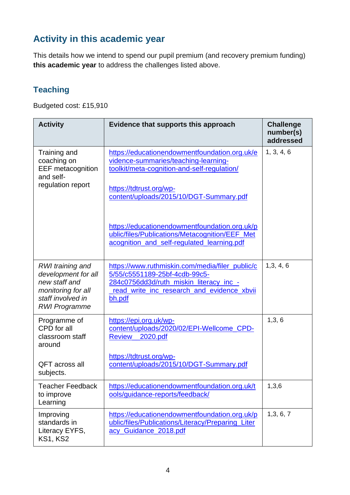# **Activity in this academic year**

This details how we intend to spend our pupil premium (and recovery premium funding) **this academic year** to address the challenges listed above.

## **Teaching**

Budgeted cost: £15,910

| <b>Activity</b>                                                                                                             | Evidence that supports this approach                                                                                                                                                                       | <b>Challenge</b><br>number(s)<br>addressed |
|-----------------------------------------------------------------------------------------------------------------------------|------------------------------------------------------------------------------------------------------------------------------------------------------------------------------------------------------------|--------------------------------------------|
| Training and<br>coaching on<br><b>EEF</b> metacognition<br>and self-<br>regulation report                                   | https://educationendowmentfoundation.org.uk/e<br>vidence-summaries/teaching-learning-<br>toolkit/meta-cognition-and-self-regulation/<br>https://tdtrust.org/wp-<br>content/uploads/2015/10/DGT-Summary.pdf | 1, 3, 4, 6                                 |
|                                                                                                                             | https://educationendowmentfoundation.org.uk/p<br>ublic/files/Publications/Metacognition/EEF Met<br>acognition and self-regulated learning.pdf                                                              |                                            |
| RWI training and<br>development for all<br>new staff and<br>monitoring for all<br>staff involved in<br><b>RWI Programme</b> | https://www.ruthmiskin.com/media/filer_public/c<br>5/55/c5551189-25bf-4cdb-99c5-<br>284c0756dd3d/ruth_miskin_literacy_inc_-<br>read write inc research and evidence xbvii<br>bh.pdf                        | 1,3,4,6                                    |
| Programme of<br>CPD for all<br>classroom staff<br>around                                                                    | https://epi.org.uk/wp-<br>content/uploads/2020/02/EPI-Wellcome_CPD-<br><b>Review</b><br>2020.pdf                                                                                                           | 1, 3, 6                                    |
| <b>QFT</b> across all<br>subjects.                                                                                          | https://tdtrust.org/wp-<br>content/uploads/2015/10/DGT-Summary.pdf                                                                                                                                         |                                            |
| <b>Teacher Feedback</b><br>to improve<br>Learning                                                                           | https://educationendowmentfoundation.org.uk/t<br>ools/guidance-reports/feedback/                                                                                                                           | 1,3,6                                      |
| Improving<br>standards in<br>Literacy EYFS,<br><b>KS1, KS2</b>                                                              | https://educationendowmentfoundation.org.uk/p<br>ublic/files/Publications/Literacy/Preparing_Liter<br>acy_Guidance_2018.pdf                                                                                | 1,3,6,7                                    |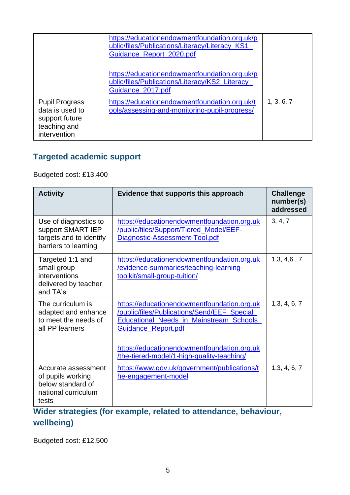|                                                                                            | https://educationendowmentfoundation.org.uk/p<br>ublic/files/Publications/Literacy/Literacy_KS1<br>Guidance_Report_2020.pdf |            |
|--------------------------------------------------------------------------------------------|-----------------------------------------------------------------------------------------------------------------------------|------------|
|                                                                                            | https://educationendowmentfoundation.org.uk/p<br>ublic/files/Publications/Literacy/KS2_Literacy_<br>Guidance_2017.pdf       |            |
| <b>Pupil Progress</b><br>data is used to<br>support future<br>teaching and<br>intervention | https://educationendowmentfoundation.org.uk/t<br>ools/assessing-and-monitoring-pupil-progress/                              | 1, 3, 6, 7 |

#### **Targeted academic support**

Budgeted cost: £13,400

| <b>Activity</b>                                                                               | Evidence that supports this approach                                                                                                                                                                                                                              | <b>Challenge</b><br>number(s)<br>addressed |
|-----------------------------------------------------------------------------------------------|-------------------------------------------------------------------------------------------------------------------------------------------------------------------------------------------------------------------------------------------------------------------|--------------------------------------------|
| Use of diagnostics to<br>support SMART IEP<br>targets and to identify<br>barriers to learning | https://educationendowmentfoundation.org.uk<br>/public/files/Support/Tiered_Model/EEF-<br>Diagnostic-Assessment-Tool.pdf                                                                                                                                          | 3, 4, 7                                    |
| Targeted 1:1 and<br>small group<br>interventions<br>delivered by teacher<br>and TA's          | https://educationendowmentfoundation.org.uk<br>/evidence-summaries/teaching-learning-<br>toolkit/small-group-tuition/                                                                                                                                             | 1,3,4,6,7                                  |
| The curriculum is<br>adapted and enhance<br>to meet the needs of<br>all PP learners           | https://educationendowmentfoundation.org.uk<br>/public/files/Publications/Send/EEF_Special<br><b>Educational_Needs_in_Mainstream_Schools_</b><br>Guidance_Report.pdf<br>https://educationendowmentfoundation.org.uk<br>/the-tiered-model/1-high-quality-teaching/ | 1,3,4,6,7                                  |
| Accurate assessment<br>of pupils working<br>below standard of<br>national curriculum<br>tests | https://www.gov.uk/government/publications/t<br>he-engagement-model                                                                                                                                                                                               | 1,3,4,6,7                                  |

## **Wider strategies (for example, related to attendance, behaviour, wellbeing)**

Budgeted cost: £12,500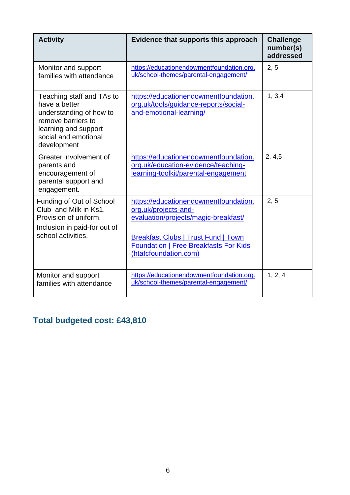| <b>Activity</b>                                                                                                                                            | Evidence that supports this approach                                                                                                                                                                                         | <b>Challenge</b><br>number(s)<br>addressed |
|------------------------------------------------------------------------------------------------------------------------------------------------------------|------------------------------------------------------------------------------------------------------------------------------------------------------------------------------------------------------------------------------|--------------------------------------------|
| Monitor and support<br>families with attendance                                                                                                            | https://educationendowmentfoundation.org.<br>uk/school-themes/parental-engagement/                                                                                                                                           | 2, 5                                       |
| Teaching staff and TAs to<br>have a better<br>understanding of how to<br>remove barriers to<br>learning and support<br>social and emotional<br>development | https://educationendowmentfoundation.<br>org.uk/tools/guidance-reports/social-<br>and-emotional-learning/                                                                                                                    | 1, 3, 4                                    |
| Greater involvement of<br>parents and<br>encouragement of<br>parental support and<br>engagement.                                                           | https://educationendowmentfoundation.<br>org.uk/education-evidence/teaching-<br>learning-toolkit/parental-engagement                                                                                                         | 2, 4, 5                                    |
| Funding of Out of School<br>Club and Milk in Ks1.<br>Provision of uniform.<br>Inclusion in paid-for out of<br>school activities.                           | https://educationendowmentfoundation.<br>org.uk/projects-and-<br>evaluation/projects/magic-breakfast/<br><b>Breakfast Clubs   Trust Fund   Town</b><br><b>Foundation   Free Breakfasts For Kids</b><br>(htafcfoundation.com) | 2, 5                                       |
| Monitor and support<br>families with attendance                                                                                                            | https://educationendowmentfoundation.org.<br>uk/school-themes/parental-engagement/                                                                                                                                           | 1, 2, 4                                    |

# **Total budgeted cost: £43,810**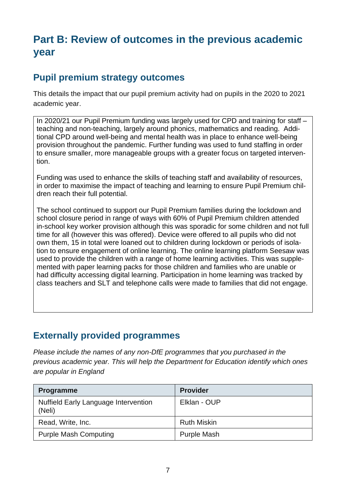# **Part B: Review of outcomes in the previous academic year**

#### **Pupil premium strategy outcomes**

This details the impact that our pupil premium activity had on pupils in the 2020 to 2021 academic year.

In 2020/21 our Pupil Premium funding was largely used for CPD and training for staff – teaching and non-teaching, largely around phonics, mathematics and reading. Additional CPD around well-being and mental health was in place to enhance well-being provision throughout the pandemic. Further funding was used to fund staffing in order to ensure smaller, more manageable groups with a greater focus on targeted intervention.

Funding was used to enhance the skills of teaching staff and availability of resources, in order to maximise the impact of teaching and learning to ensure Pupil Premium children reach their full potential.

The school continued to support our Pupil Premium families during the lockdown and school closure period in range of ways with 60% of Pupil Premium children attended in-school key worker provision although this was sporadic for some children and not full time for all (however this was offered). Device were offered to all pupils who did not own them, 15 in total were loaned out to children during lockdown or periods of isolation to ensure engagement of online learning. The online learning platform Seesaw was used to provide the children with a range of home learning activities. This was supplemented with paper learning packs for those children and families who are unable or had difficulty accessing digital learning. Participation in home learning was tracked by class teachers and SLT and telephone calls were made to families that did not engage.

#### **Externally provided programmes**

*Please include the names of any non-DfE programmes that you purchased in the previous academic year. This will help the Department for Education identify which ones are popular in England*

| <b>Programme</b>                                      | <b>Provider</b>    |
|-------------------------------------------------------|--------------------|
| <b>Nuffield Early Language Intervention</b><br>(Neli) | Elklan - OUP       |
| Read, Write, Inc.                                     | <b>Ruth Miskin</b> |
| <b>Purple Mash Computing</b>                          | <b>Purple Mash</b> |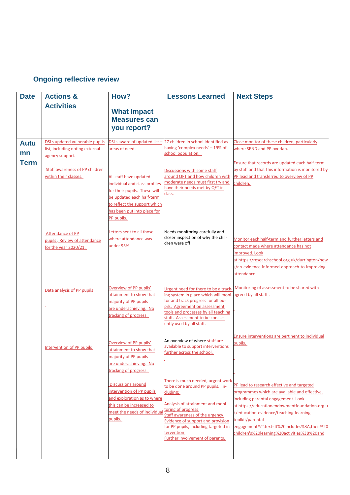#### **Ongoing reflective review**

| <b>Actions &amp;</b>                                                                                                                                                                                | How?                                                                                                                                                                                                                                                                     | <b>Lessons Learned</b>                                                                                                                                                                                                                                                                                                                                                                                       | <b>Next Steps</b>                                                                                                                                                                                                                                                                                                                                                                                                 |
|-----------------------------------------------------------------------------------------------------------------------------------------------------------------------------------------------------|--------------------------------------------------------------------------------------------------------------------------------------------------------------------------------------------------------------------------------------------------------------------------|--------------------------------------------------------------------------------------------------------------------------------------------------------------------------------------------------------------------------------------------------------------------------------------------------------------------------------------------------------------------------------------------------------------|-------------------------------------------------------------------------------------------------------------------------------------------------------------------------------------------------------------------------------------------------------------------------------------------------------------------------------------------------------------------------------------------------------------------|
| <b>Activities</b>                                                                                                                                                                                   | <b>What Impact</b><br><b>Measures can</b><br>you report?                                                                                                                                                                                                                 |                                                                                                                                                                                                                                                                                                                                                                                                              |                                                                                                                                                                                                                                                                                                                                                                                                                   |
| DSLs updated vulnerable pupils<br>list, including noting external<br>agency support.<br>Staff awareness of PP children<br>within their classes.<br>Attendance of PP<br>pupils. Review of attendance | areas of need.<br>All staff have updated<br>individual and class profiles<br>for their pupils. These will<br>be updated each half-term<br>to reflect the support which<br>has been put into place for<br>PP pupils.<br>Letters sent to all those<br>where attendance was | having 'complex needs' - 19% of<br>school population.<br>Discussions with some staff<br>around QFT and how children with<br>moderate needs must first try and<br>have their needs met by QFT in<br>class.<br>dren were off                                                                                                                                                                                   | Close monitor of these children, particularly<br>where SEND and PP overlap.<br>Ensure that records are updated each half-term<br>by staff and that this information is monitored by<br>PP lead and transferred to overview of PP<br>children.<br>Monitor each half-term and further letters and<br>contact made where attendance has not                                                                          |
| Data analysis of PP pupils<br>÷.                                                                                                                                                                    | Overview of PP pupils'<br>attainment to show that<br>majority of PP pupils<br>are underachieving. No<br>tracking of progress.                                                                                                                                            | Urgent need for there to be a track-<br>ing system in place which will moni-agreed by all staff.<br>tor and track progress for all pu-<br>pils. Agreement on assessment<br>tools and processes by all teaching                                                                                                                                                                                               | improved. Look<br>at https://researchschool.org.uk/durrington/new<br>s/an-evidence-informed-approach-to-improving-<br>attendance<br>Monitoring of assessment to be shared with                                                                                                                                                                                                                                    |
| Intervention of PP pupils                                                                                                                                                                           | Overview of PP pupils'<br>attainment to show that<br>majority of PP pupils<br>are underachieving. No<br>tracking of progress.<br><b>Discussions around</b><br>intervention of PP pupils<br>this can be increased to<br>meet the needs of individual<br>pupils.           | ently used by all staff.<br>available to support interventions<br>further across the school.<br>There is much needed, urgent work<br>to be done around PP pupils. In-<br>cluding:<br>Analysis of attainment and moni-<br>toring of progress<br>Staff awareness of the urgency<br>Evidence of support and provision<br>for PP pupils, including targeted in-<br>tervention<br>Further involvement of parents. | Ensure interventions are pertinent to individual<br>pupils.<br>PP lead to research effective and targeted<br>programmes which are available and effective,<br>including parental engagement. Look<br>at https://educationendowmentfoundation.org.u<br>k/education-evidence/teaching-learning-<br>toolkit/parental-<br>engagement#:~:text=It%20includes%3A,their%20<br>children's%20learning%20activities%3B%20and |
|                                                                                                                                                                                                     | for the year 2020/21.                                                                                                                                                                                                                                                    | under 95%<br>and exploration as to where                                                                                                                                                                                                                                                                                                                                                                     | DSLs aware of updated list - 27 children in school identified as<br>Needs monitoring carefully and<br>closer inspection of why the chil-<br>staff. Assessment to be consist-<br>An overview of where staff are                                                                                                                                                                                                    |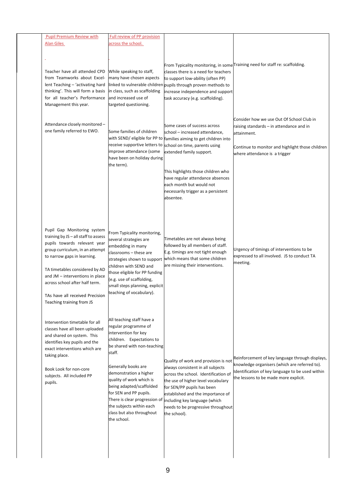| <b>Pupil Premium Review with</b>                                      | Full review of PP provision                                |                                                                                                      |                                                                                          |
|-----------------------------------------------------------------------|------------------------------------------------------------|------------------------------------------------------------------------------------------------------|------------------------------------------------------------------------------------------|
| <b>Alan Giles</b>                                                     | across the school.                                         |                                                                                                      |                                                                                          |
|                                                                       |                                                            |                                                                                                      |                                                                                          |
|                                                                       |                                                            |                                                                                                      | From Typicality monitoring, in some Training need for staff re: scaffolding.             |
| Teacher have all attended CPD                                         | While speaking to staff,                                   | classes there is a need for teachers                                                                 |                                                                                          |
| from Teamworks about Excel-                                           | many have chosen aspects                                   | to support low-ability (often PP)                                                                    |                                                                                          |
| lent Teaching - 'activating hard<br>thinking'. This will form a basis | in class, such as scaffolding                              | linked to vulnerable children pupils through proven methods to<br>increase independence and support  |                                                                                          |
| for all teacher's Performance                                         | and increased use of                                       | task accuracy (e.g. scaffolding).                                                                    |                                                                                          |
| Management this year.                                                 | targeted questioning.                                      |                                                                                                      |                                                                                          |
|                                                                       |                                                            |                                                                                                      |                                                                                          |
|                                                                       |                                                            |                                                                                                      | Consider how we use Out Of School Club in                                                |
| Attendance closely monitored-<br>one family referred to EWO.          |                                                            | Some cases of success across                                                                         | raising standards – in attendance and in                                                 |
|                                                                       | Some families of children                                  | school - increased attendance,<br>with SEND/ eligible for PP to families aiming to get children into | attainment.                                                                              |
|                                                                       |                                                            | receive supportive letters to school on time, parents using                                          |                                                                                          |
|                                                                       | improve attendance (some                                   | extended family support.                                                                             | Continue to monitor and highlight those children<br>where attendance is a trigger        |
|                                                                       | have been on holiday during                                |                                                                                                      |                                                                                          |
|                                                                       | the term).                                                 |                                                                                                      |                                                                                          |
|                                                                       |                                                            | This highlights those children who<br>have regular attendance absences                               |                                                                                          |
|                                                                       |                                                            | each month but would not                                                                             |                                                                                          |
|                                                                       |                                                            | necessarily trigger as a persistent                                                                  |                                                                                          |
|                                                                       |                                                            | absentee.                                                                                            |                                                                                          |
|                                                                       |                                                            |                                                                                                      |                                                                                          |
|                                                                       |                                                            |                                                                                                      |                                                                                          |
|                                                                       |                                                            |                                                                                                      |                                                                                          |
| Pupil Gap Monitoring system                                           | From Typicality monitoring,                                |                                                                                                      |                                                                                          |
| training by JS - all staff to assess                                  | several strategies are                                     | Timetables are not always being                                                                      |                                                                                          |
| pupils towards relevant year                                          | embedding in many                                          | followed by all members of staff.                                                                    |                                                                                          |
| group curriculum, in an attempt<br>to narrow gaps in learning.        | classrooms - these are                                     | E.g. timings are not tight enough                                                                    | Urgency of timings of interventions to be<br>expressed to all involved. JS to conduct TA |
|                                                                       | strategies shown to support                                | which means that some children                                                                       | meeting.                                                                                 |
| TA timetables considered by AD                                        | children with SEND and                                     | are missing their interventions.                                                                     |                                                                                          |
| and JM - interventions in place                                       | those eligible for PP funding<br>(e.g. use of scaffolding, |                                                                                                      |                                                                                          |
| across school after half term.                                        | small steps planning, explicit                             |                                                                                                      |                                                                                          |
| TAs have all received Precision                                       | teaching of vocabulary).                                   |                                                                                                      |                                                                                          |
| Teaching training from JS                                             |                                                            |                                                                                                      |                                                                                          |
|                                                                       |                                                            |                                                                                                      |                                                                                          |
|                                                                       | All teaching staff have a                                  |                                                                                                      |                                                                                          |
| Intervention timetable for all                                        | regular programme of                                       |                                                                                                      |                                                                                          |
| classes have all been uploaded<br>and shared on system. This          | intervention for key                                       |                                                                                                      |                                                                                          |
| identifies key pupils and the                                         | children. Expectations to                                  |                                                                                                      |                                                                                          |
| exact interventions which are                                         | be shared with non-teaching                                |                                                                                                      |                                                                                          |
| taking place.                                                         | staff.                                                     |                                                                                                      | Reinforcement of key language through displays,                                          |
|                                                                       | Generally books are                                        | Quality of work and provision is not<br>always consistent in all subjects                            | knowledge organisers (which are referred to).                                            |
| Book Look for non-core                                                | demonstration a higher                                     | across the school. Identification of                                                                 | Identification of key language to be used within                                         |
| subjects. All included PP<br>pupils.                                  | quality of work which is                                   | the use of higher level vocabulary                                                                   | the lessons to be made more explicit.                                                    |
|                                                                       | being adapted/scaffolded                                   | for SEN/PP pupils has been                                                                           |                                                                                          |
|                                                                       | for SEN and PP pupils.                                     | established and the importance of                                                                    |                                                                                          |
|                                                                       | There is clear progression of<br>the subjects within each  | including key language (which<br>needs to be progressive throughout                                  |                                                                                          |
|                                                                       | class but also throughout                                  | the school).                                                                                         |                                                                                          |
|                                                                       | the school.                                                |                                                                                                      |                                                                                          |
|                                                                       |                                                            |                                                                                                      |                                                                                          |
|                                                                       |                                                            |                                                                                                      |                                                                                          |
|                                                                       |                                                            |                                                                                                      |                                                                                          |
|                                                                       |                                                            |                                                                                                      |                                                                                          |
|                                                                       |                                                            |                                                                                                      |                                                                                          |